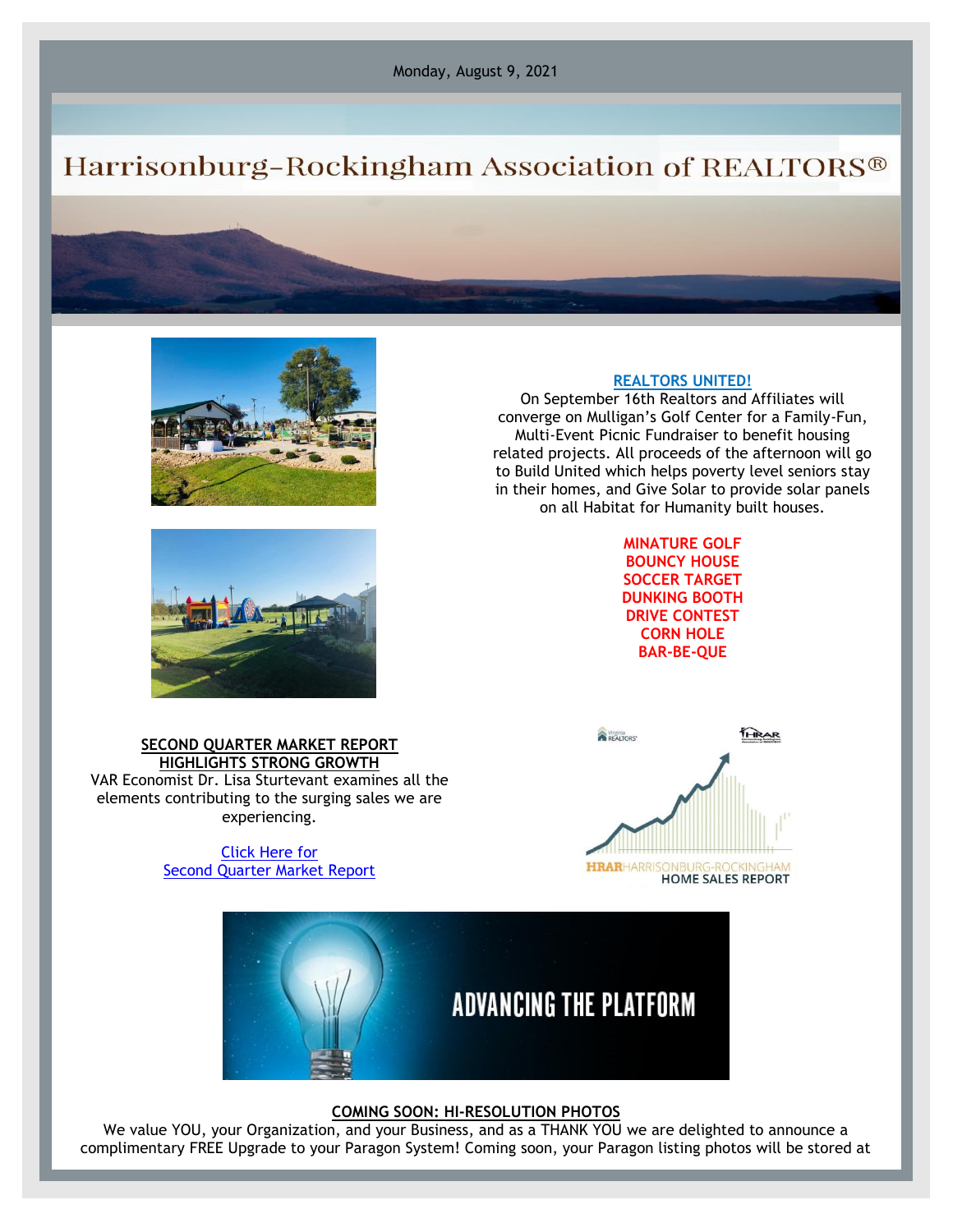Monday, August 9, 2021

## Harrisonburg-Rockingham Association of REALTORS®





On September 16th Realtors and Affiliates will converge on Mulligan's Golf Center for a Family-Fun, Multi-Event Picnic Fundraiser to benefit housing related projects. All proceeds of the afternoon will go to Build United which helps poverty level seniors stay in their homes, and Give Solar to provide solar panels on all Habitat for Humanity built houses.





[Click Here for](https://files.constantcontact.com/917f92b5101/b67c44eb-8161-4513-83e6-0036c1d4f32e.pdf) [Second Quarter Market Report](https://files.constantcontact.com/917f92b5101/b67c44eb-8161-4513-83e6-0036c1d4f32e.pdf)





## **COMING SOON: HI-RESOLUTION PHOTOS**

We value YOU, your Organization, and your Business, and as a THANK YOU we are delighted to announce a complimentary FREE Upgrade to your Paragon System! Coming soon, your Paragon listing photos will be stored at